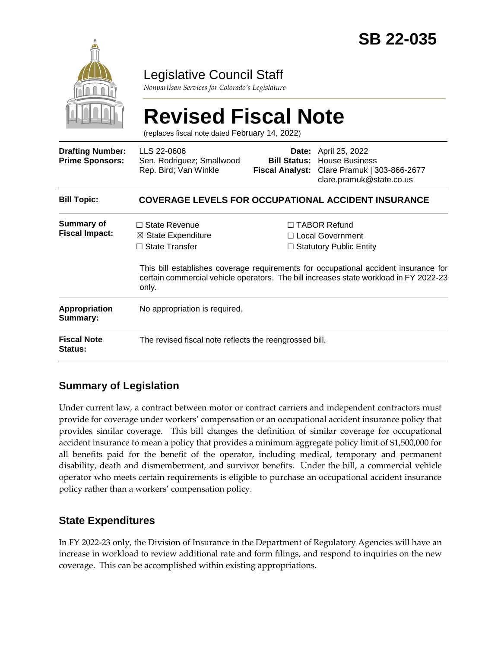

# Legislative Council Staff

*Nonpartisan Services for Colorado's Legislature*

# **Revised Fiscal Note**

(replaces fiscal note dated February 14, 2022)

| <b>Drafting Number:</b><br><b>Prime Sponsors:</b> | LLS 22-0606<br>Sen. Rodriguez; Smallwood<br>Rep. Bird; Van Winkle              |                                                                                                                                                                                                                                                                  | <b>Date:</b> April 25, 2022<br><b>Bill Status: House Business</b><br>Fiscal Analyst: Clare Pramuk   303-866-2677<br>clare.pramuk@state.co.us |
|---------------------------------------------------|--------------------------------------------------------------------------------|------------------------------------------------------------------------------------------------------------------------------------------------------------------------------------------------------------------------------------------------------------------|----------------------------------------------------------------------------------------------------------------------------------------------|
| <b>Bill Topic:</b>                                | <b>COVERAGE LEVELS FOR OCCUPATIONAL ACCIDENT INSURANCE</b>                     |                                                                                                                                                                                                                                                                  |                                                                                                                                              |
| <b>Summary of</b><br><b>Fiscal Impact:</b>        | $\Box$ State Revenue<br>$\boxtimes$ State Expenditure<br>$\Box$ State Transfer | $\Box$ TABOR Refund<br>$\Box$ Local Government<br>$\Box$ Statutory Public Entity<br>This bill establishes coverage requirements for occupational accident insurance for<br>certain commercial vehicle operators. The bill increases state workload in FY 2022-23 |                                                                                                                                              |
| <b>Appropriation</b><br>Summary:                  | only.<br>No appropriation is required.                                         |                                                                                                                                                                                                                                                                  |                                                                                                                                              |
| <b>Fiscal Note</b><br><b>Status:</b>              | The revised fiscal note reflects the reengrossed bill.                         |                                                                                                                                                                                                                                                                  |                                                                                                                                              |

# **Summary of Legislation**

Under current law, a contract between motor or contract carriers and independent contractors must provide for coverage under workers' compensation or an occupational accident insurance policy that provides similar coverage. This bill changes the definition of similar coverage for occupational accident insurance to mean a policy that provides a minimum aggregate policy limit of \$1,500,000 for all benefits paid for the benefit of the operator, including medical, temporary and permanent disability, death and dismemberment, and survivor benefits. Under the bill, a commercial vehicle operator who meets certain requirements is eligible to purchase an occupational accident insurance policy rather than a workers' compensation policy.

#### **State Expenditures**

In FY 2022-23 only, the Division of Insurance in the Department of Regulatory Agencies will have an increase in workload to review additional rate and form filings, and respond to inquiries on the new coverage. This can be accomplished within existing appropriations.